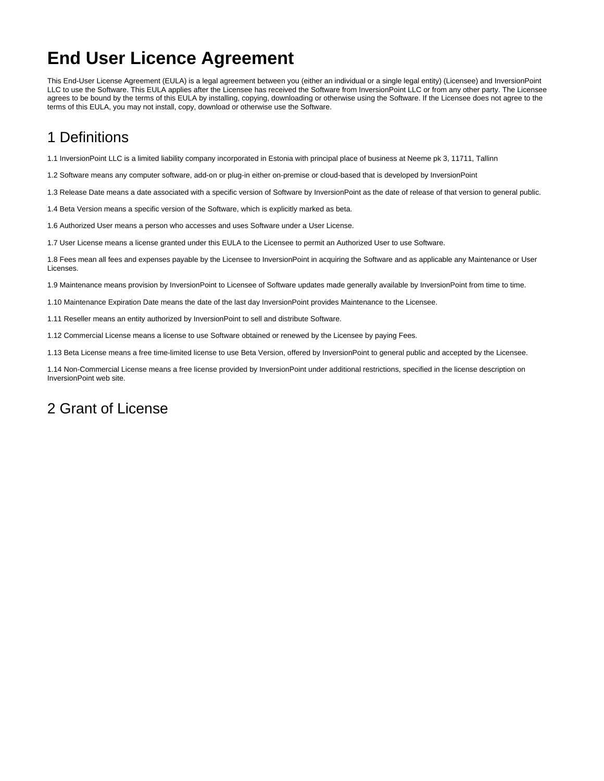# **End User Licence Agreement**

This End-User License Agreement (EULA) is a legal agreement between you (either an individual or a single legal entity) (Licensee) and InversionPoint LLC to use the Software. This EULA applies after the Licensee has received the Software from InversionPoint LLC or from any other party. The Licensee agrees to be bound by the terms of this EULA by installing, copying, downloading or otherwise using the Software. If the Licensee does not agree to the terms of this EULA, you may not install, copy, download or otherwise use the Software.

## 1 Definitions

1.1 InversionPoint LLC is a limited liability company incorporated in Estonia with principal place of business at Neeme pk 3, 11711, Tallinn

1.2 Software means any computer software, add-on or plug-in either on-premise or cloud-based that is developed by InversionPoint

1.3 Release Date means a date associated with a specific version of Software by InversionPoint as the date of release of that version to general public.

1.4 Beta Version means a specific version of the Software, which is explicitly marked as beta.

1.6 Authorized User means a person who accesses and uses Software under a User License.

1.7 User License means a license granted under this EULA to the Licensee to permit an Authorized User to use Software.

1.8 Fees mean all fees and expenses payable by the Licensee to InversionPoint in acquiring the Software and as applicable any Maintenance or User Licenses.

1.9 Maintenance means provision by InversionPoint to Licensee of Software updates made generally available by InversionPoint from time to time.

1.10 Maintenance Expiration Date means the date of the last day InversionPoint provides Maintenance to the Licensee.

1.11 Reseller means an entity authorized by InversionPoint to sell and distribute Software.

1.12 Commercial License means a license to use Software obtained or renewed by the Licensee by paying Fees.

1.13 Beta License means a free time-limited license to use Beta Version, offered by InversionPoint to general public and accepted by the Licensee.

1.14 Non-Commercial License means a free license provided by InversionPoint under additional restrictions, specified in the license description on InversionPoint web site.

#### 2 Grant of License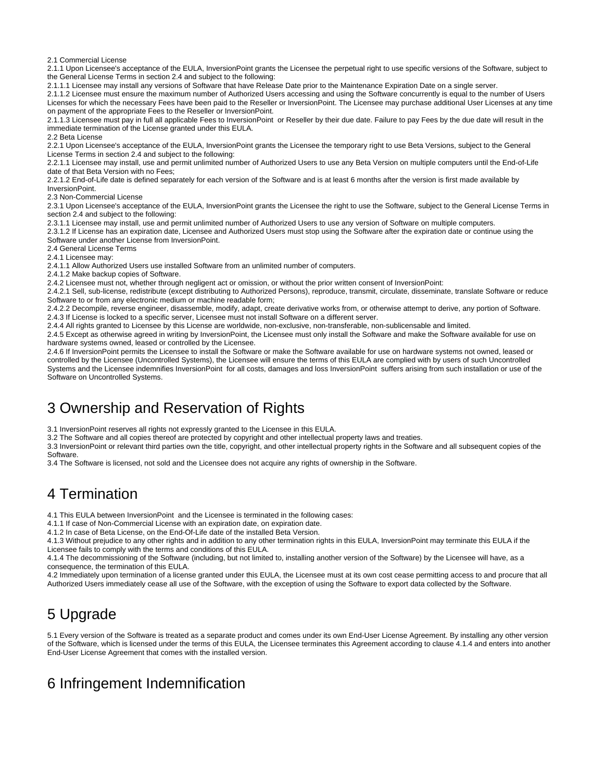2.1 Commercial License

2.1.1 Upon Licensee's acceptance of the EULA, InversionPoint grants the Licensee the perpetual right to use specific versions of the Software, subject to the General License Terms in section 2.4 and subject to the following:

2.1.1.1 Licensee may install any versions of Software that have Release Date prior to the Maintenance Expiration Date on a single server.

2.1.1.2 Licensee must ensure the maximum number of Authorized Users accessing and using the Software concurrently is equal to the number of Users Licenses for which the necessary Fees have been paid to the Reseller or InversionPoint. The Licensee may purchase additional User Licenses at any time on payment of the appropriate Fees to the Reseller or InversionPoint.

2.1.1.3 Licensee must pay in full all applicable Fees to InversionPoint or Reseller by their due date. Failure to pay Fees by the due date will result in the immediate termination of the License granted under this EULA.

2.2 Beta License

2.2.1 Upon Licensee's acceptance of the EULA, InversionPoint grants the Licensee the temporary right to use Beta Versions, subject to the General License Terms in section 2.4 and subject to the following:

2.2.1.1 Licensee may install, use and permit unlimited number of Authorized Users to use any Beta Version on multiple computers until the End-of-Life date of that Beta Version with no Fees;

2.2.1.2 End-of-Life date is defined separately for each version of the Software and is at least 6 months after the version is first made available by InversionPoint.

2.3 Non-Commercial License

2.3.1 Upon Licensee's acceptance of the EULA, InversionPoint grants the Licensee the right to use the Software, subject to the General License Terms in section 2.4 and subject to the following:

2.3.1.1 Licensee may install, use and permit unlimited number of Authorized Users to use any version of Software on multiple computers.

2.3.1.2 If License has an expiration date, Licensee and Authorized Users must stop using the Software after the expiration date or continue using the Software under another License from InversionPoint.

2.4 General License Terms

2.4.1 Licensee may:

2.4.1.1 Allow Authorized Users use installed Software from an unlimited number of computers.

2.4.1.2 Make backup copies of Software.

2.4.2 Licensee must not, whether through negligent act or omission, or without the prior written consent of InversionPoint:

2.4.2.1 Sell, sub-license, redistribute (except distributing to Authorized Persons), reproduce, transmit, circulate, disseminate, translate Software or reduce Software to or from any electronic medium or machine readable form;

2.4.2.2 Decompile, reverse engineer, disassemble, modify, adapt, create derivative works from, or otherwise attempt to derive, any portion of Software. 2.4.3 If License is locked to a specific server, Licensee must not install Software on a different server.

2.4.4 All rights granted to Licensee by this License are worldwide, non-exclusive, non-transferable, non-sublicensable and limited.

2.4.5 Except as otherwise agreed in writing by InversionPoint, the Licensee must only install the Software and make the Software available for use on hardware systems owned, leased or controlled by the Licensee.

2.4.6 If InversionPoint permits the Licensee to install the Software or make the Software available for use on hardware systems not owned, leased or controlled by the Licensee (Uncontrolled Systems), the Licensee will ensure the terms of this EULA are complied with by users of such Uncontrolled Systems and the Licensee indemnifies InversionPoint for all costs, damages and loss InversionPoint suffers arising from such installation or use of the Software on Uncontrolled Systems.

## 3 Ownership and Reservation of Rights

3.1 InversionPoint reserves all rights not expressly granted to the Licensee in this EULA.

3.2 The Software and all copies thereof are protected by copyright and other intellectual property laws and treaties.

3.3 InversionPoint or relevant third parties own the title, copyright, and other intellectual property rights in the Software and all subsequent copies of the Software.

3.4 The Software is licensed, not sold and the Licensee does not acquire any rights of ownership in the Software.

#### 4 Termination

4.1 This EULA between InversionPoint and the Licensee is terminated in the following cases:

4.1.1 If case of Non-Commercial License with an expiration date, on expiration date.

4.1.2 In case of Beta License, on the End-Of-Life date of the installed Beta Version.

4.1.3 Without prejudice to any other rights and in addition to any other termination rights in this EULA, InversionPoint may terminate this EULA if the Licensee fails to comply with the terms and conditions of this EULA.

4.1.4 The decommissioning of the Software (including, but not limited to, installing another version of the Software) by the Licensee will have, as a consequence, the termination of this EULA.

4.2 Immediately upon termination of a license granted under this EULA, the Licensee must at its own cost cease permitting access to and procure that all Authorized Users immediately cease all use of the Software, with the exception of using the Software to export data collected by the Software.

# 5 Upgrade

5.1 Every version of the Software is treated as a separate product and comes under its own End-User License Agreement. By installing any other version of the Software, which is licensed under the terms of this EULA, the Licensee terminates this Agreement according to clause 4.1.4 and enters into another End-User License Agreement that comes with the installed version.

## 6 Infringement Indemnification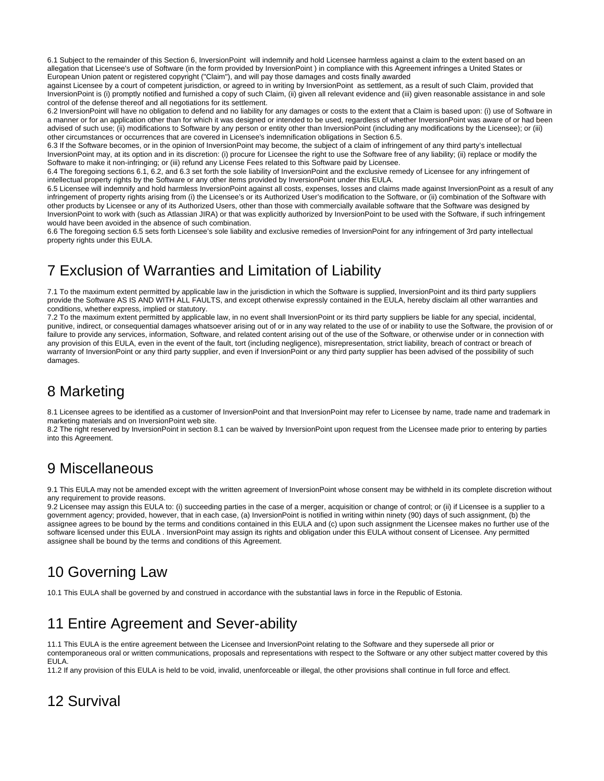6.1 Subject to the remainder of this Section 6, InversionPoint will indemnify and hold Licensee harmless against a claim to the extent based on an allegation that Licensee's use of Software (in the form provided by InversionPoint ) in compliance with this Agreement infringes a United States or European Union patent or registered copyright ("Claim"), and will pay those damages and costs finally awarded

against Licensee by a court of competent jurisdiction, or agreed to in writing by InversionPoint as settlement, as a result of such Claim, provided that InversionPoint is (i) promptly notified and furnished a copy of such Claim, (ii) given all relevant evidence and (iii) given reasonable assistance in and sole control of the defense thereof and all negotiations for its settlement.

6.2 InversionPoint will have no obligation to defend and no liability for any damages or costs to the extent that a Claim is based upon: (i) use of Software in a manner or for an application other than for which it was designed or intended to be used, regardless of whether InversionPoint was aware of or had been advised of such use; (ii) modifications to Software by any person or entity other than InversionPoint (including any modifications by the Licensee); or (iii) other circumstances or occurrences that are covered in Licensee's indemnification obligations in Section 6.5.

6.3 If the Software becomes, or in the opinion of InversionPoint may become, the subject of a claim of infringement of any third party's intellectual InversionPoint may, at its option and in its discretion: (i) procure for Licensee the right to use the Software free of any liability; (ii) replace or modify the Software to make it non-infringing; or (iii) refund any License Fees related to this Software paid by Licensee.

6.4 The foregoing sections 6.1, 6.2, and 6.3 set forth the sole liability of InversionPoint and the exclusive remedy of Licensee for any infringement of intellectual property rights by the Software or any other items provided by InversionPoint under this EULA.

6.5 Licensee will indemnify and hold harmless InversionPoint against all costs, expenses, losses and claims made against InversionPoint as a result of any infringement of property rights arising from (i) the Licensee's or its Authorized User's modification to the Software, or (ii) combination of the Software with other products by Licensee or any of its Authorized Users, other than those with commercially available software that the Software was designed by InversionPoint to work with (such as Atlassian JIRA) or that was explicitly authorized by InversionPoint to be used with the Software, if such infringement would have been avoided in the absence of such combination.

6.6 The foregoing section 6.5 sets forth Licensee's sole liability and exclusive remedies of InversionPoint for any infringement of 3rd party intellectual property rights under this EULA.

#### 7 Exclusion of Warranties and Limitation of Liability

7.1 To the maximum extent permitted by applicable law in the jurisdiction in which the Software is supplied, InversionPoint and its third party suppliers provide the Software AS IS AND WITH ALL FAULTS, and except otherwise expressly contained in the EULA, hereby disclaim all other warranties and conditions, whether express, implied or statutory.

7.2 To the maximum extent permitted by applicable law, in no event shall InversionPoint or its third party suppliers be liable for any special, incidental, punitive, indirect, or consequential damages whatsoever arising out of or in any way related to the use of or inability to use the Software, the provision of or failure to provide any services, information, Software, and related content arising out of the use of the Software, or otherwise under or in connection with any provision of this EULA, even in the event of the fault, tort (including negligence), misrepresentation, strict liability, breach of contract or breach of warranty of InversionPoint or any third party supplier, and even if InversionPoint or any third party supplier has been advised of the possibility of such damages.

# 8 Marketing

8.1 Licensee agrees to be identified as a customer of InversionPoint and that InversionPoint may refer to Licensee by name, trade name and trademark in marketing materials and on InversionPoint web site.

8.2 The right reserved by InversionPoint in section 8.1 can be waived by InversionPoint upon request from the Licensee made prior to entering by parties into this Agreement.

## 9 Miscellaneous

9.1 This EULA may not be amended except with the written agreement of InversionPoint whose consent may be withheld in its complete discretion without any requirement to provide reasons.

9.2 Licensee may assign this EULA to: (i) succeeding parties in the case of a merger, acquisition or change of control; or (ii) if Licensee is a supplier to a government agency; provided, however, that in each case, (a) InversionPoint is notified in writing within ninety (90) days of such assignment, (b) the assignee agrees to be bound by the terms and conditions contained in this EULA and (c) upon such assignment the Licensee makes no further use of the software licensed under this EULA . InversionPoint may assign its rights and obligation under this EULA without consent of Licensee. Any permitted assignee shall be bound by the terms and conditions of this Agreement.

# 10 Governing Law

10.1 This EULA shall be governed by and construed in accordance with the substantial laws in force in the Republic of Estonia.

# 11 Entire Agreement and Sever-ability

11.1 This EULA is the entire agreement between the Licensee and InversionPoint relating to the Software and they supersede all prior or contemporaneous oral or written communications, proposals and representations with respect to the Software or any other subject matter covered by this EULA.

11.2 If any provision of this EULA is held to be void, invalid, unenforceable or illegal, the other provisions shall continue in full force and effect.

## 12 Survival